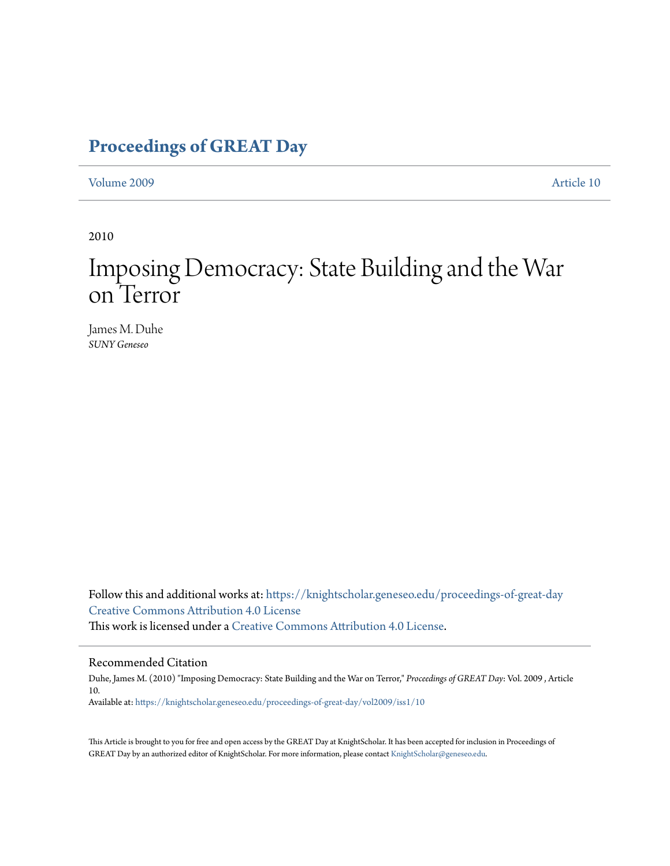### **[Proceedings of GREAT Day](https://knightscholar.geneseo.edu/proceedings-of-great-day?utm_source=knightscholar.geneseo.edu%2Fproceedings-of-great-day%2Fvol2009%2Fiss1%2F10&utm_medium=PDF&utm_campaign=PDFCoverPages)**

[Volume 2009](https://knightscholar.geneseo.edu/proceedings-of-great-day/vol2009?utm_source=knightscholar.geneseo.edu%2Fproceedings-of-great-day%2Fvol2009%2Fiss1%2F10&utm_medium=PDF&utm_campaign=PDFCoverPages) [Article 10](https://knightscholar.geneseo.edu/proceedings-of-great-day/vol2009/iss1/10?utm_source=knightscholar.geneseo.edu%2Fproceedings-of-great-day%2Fvol2009%2Fiss1%2F10&utm_medium=PDF&utm_campaign=PDFCoverPages)

2010

# Imposing Democracy: State Building and the War on Terror

James M. Duhe *SUNY Geneseo*

Follow this and additional works at: [https://knightscholar.geneseo.edu/proceedings-of-great-day](https://knightscholar.geneseo.edu/proceedings-of-great-day?utm_source=knightscholar.geneseo.edu%2Fproceedings-of-great-day%2Fvol2009%2Fiss1%2F10&utm_medium=PDF&utm_campaign=PDFCoverPages) [Creative Commons Attribution 4.0 License](http://creativecommons.org/licenses/by/4.0/) This work is licensed under a [Creative Commons Attribution 4.0 License.](http://creativecommons.org/licenses/by/4.0/)

### Recommended Citation

Duhe, James M. (2010) "Imposing Democracy: State Building and the War on Terror," *Proceedings of GREAT Day*: Vol. 2009 , Article 10. Available at: [https://knightscholar.geneseo.edu/proceedings-of-great-day/vol2009/iss1/10](https://knightscholar.geneseo.edu/proceedings-of-great-day/vol2009/iss1/10?utm_source=knightscholar.geneseo.edu%2Fproceedings-of-great-day%2Fvol2009%2Fiss1%2F10&utm_medium=PDF&utm_campaign=PDFCoverPages)

This Article is brought to you for free and open access by the GREAT Day at KnightScholar. It has been accepted for inclusion in Proceedings of GREAT Day by an authorized editor of KnightScholar. For more information, please contact [KnightScholar@geneseo.edu.](mailto:KnightScholar@geneseo.edu)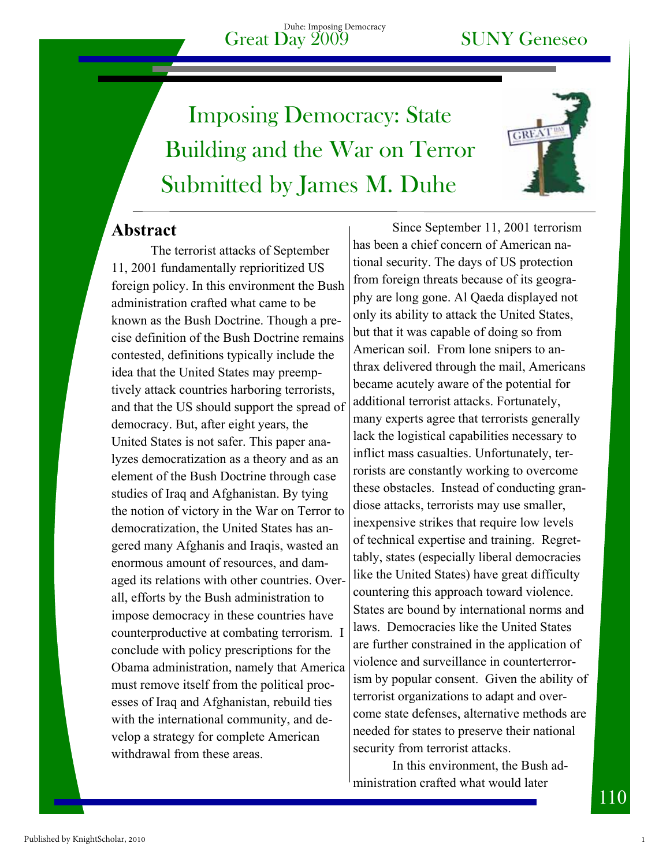# Submitted by James M. Duhe Imposing Democracy: State Building and the War on Terror



### **Abstract**

The terrorist attacks of September 11, 2001 fundamentally reprioritized US foreign policy. In this environment the Bush administration crafted what came to be known as the Bush Doctrine. Though a precise definition of the Bush Doctrine remains contested, definitions typically include the idea that the United States may preemptively attack countries harboring terrorists, and that the US should support the spread of democracy. But, after eight years, the United States is not safer. This paper analyzes democratization as a theory and as an element of the Bush Doctrine through case studies of Iraq and Afghanistan. By tying the notion of victory in the War on Terror to democratization, the United States has angered many Afghanis and Iraqis, wasted an enormous amount of resources, and damaged its relations with other countries. Overall, efforts by the Bush administration to impose democracy in these countries have counterproductive at combating terrorism. I conclude with policy prescriptions for the Obama administration, namely that America must remove itself from the political processes of Iraq and Afghanistan, rebuild ties with the international community, and develop a strategy for complete American withdrawal from these areas.

Since September 11, 2001 terrorism has been a chief concern of American national security. The days of US protection from foreign threats because of its geography are long gone. Al Qaeda displayed not only its ability to attack the United States, but that it was capable of doing so from American soil. From lone snipers to anthrax delivered through the mail, Americans became acutely aware of the potential for additional terrorist attacks. Fortunately, many experts agree that terrorists generally lack the logistical capabilities necessary to inflict mass casualties. Unfortunately, terrorists are constantly working to overcome these obstacles. Instead of conducting grandiose attacks, terrorists may use smaller, inexpensive strikes that require low levels of technical expertise and training. Regrettably, states (especially liberal democracies like the United States) have great difficulty countering this approach toward violence. States are bound by international norms and laws. Democracies like the United States are further constrained in the application of violence and surveillance in counterterrorism by popular consent. Given the ability of terrorist organizations to adapt and overcome state defenses, alternative methods are needed for states to preserve their national security from terrorist attacks.

In this environment, the Bush administration crafted what would later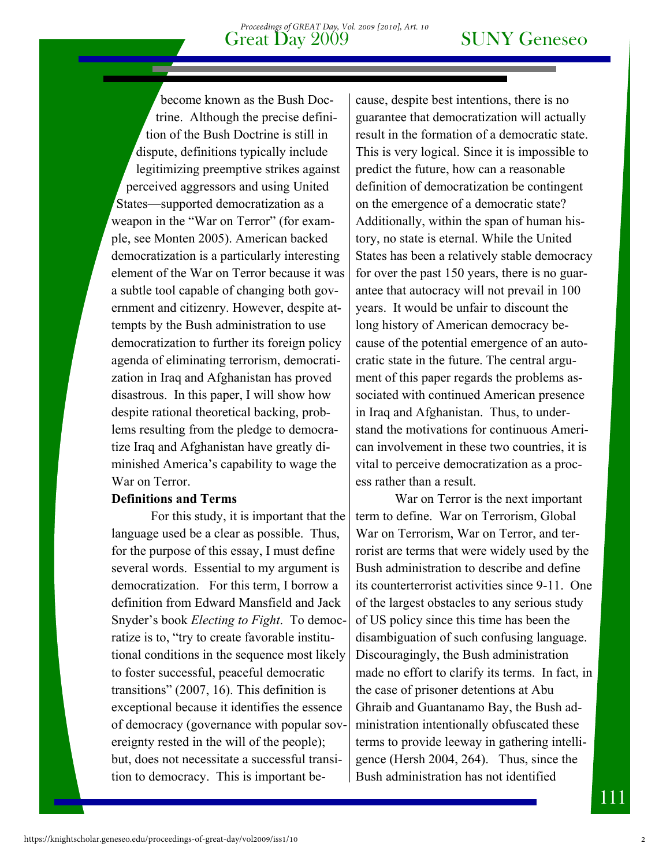become known as the Bush Doctrine. Although the precise definition of the Bush Doctrine is still in dispute, definitions typically include legitimizing preemptive strikes against perceived aggressors and using United States—supported democratization as a weapon in the "War on Terror" (for example, see Monten 2005). American backed democratization is a particularly interesting element of the War on Terror because it was a subtle tool capable of changing both government and citizenry. However, despite attempts by the Bush administration to use democratization to further its foreign policy agenda of eliminating terrorism, democratization in Iraq and Afghanistan has proved disastrous. In this paper, I will show how despite rational theoretical backing, problems resulting from the pledge to democratize Iraq and Afghanistan have greatly diminished America's capability to wage the War on Terror.

### **Definitions and Terms**

For this study, it is important that the language used be a clear as possible. Thus, for the purpose of this essay, I must define several words. Essential to my argument is democratization. For this term, I borrow a definition from Edward Mansfield and Jack Snyder's book *Electing to Fight*. To democratize is to, "try to create favorable institutional conditions in the sequence most likely to foster successful, peaceful democratic transitions" (2007, 16). This definition is exceptional because it identifies the essence of democracy (governance with popular sovereignty rested in the will of the people); but, does not necessitate a successful transition to democracy. This is important be-

cause, despite best intentions, there is no guarantee that democratization will actually result in the formation of a democratic state. This is very logical. Since it is impossible to predict the future, how can a reasonable definition of democratization be contingent on the emergence of a democratic state? Additionally, within the span of human history, no state is eternal. While the United States has been a relatively stable democracy for over the past 150 years, there is no guarantee that autocracy will not prevail in 100 years. It would be unfair to discount the long history of American democracy because of the potential emergence of an autocratic state in the future. The central argument of this paper regards the problems associated with continued American presence in Iraq and Afghanistan. Thus, to understand the motivations for continuous American involvement in these two countries, it is vital to perceive democratization as a process rather than a result.

War on Terror is the next important term to define. War on Terrorism, Global War on Terrorism, War on Terror, and terrorist are terms that were widely used by the Bush administration to describe and define its counterterrorist activities since 9-11. One of the largest obstacles to any serious study of US policy since this time has been the disambiguation of such confusing language. Discouragingly, the Bush administration made no effort to clarify its terms. In fact, in the case of prisoner detentions at Abu Ghraib and Guantanamo Bay, the Bush administration intentionally obfuscated these terms to provide leeway in gathering intelligence (Hersh 2004, 264). Thus, since the Bush administration has not identified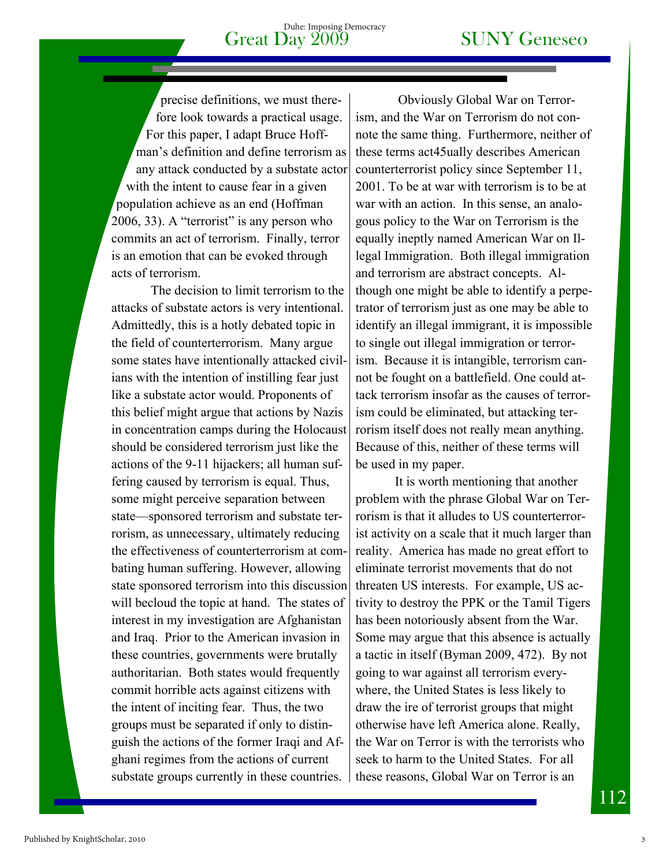# Great Day  $2009$  SUNY Geneseo

precise definitions, we must therefore look towards a practical usage. For this paper, I adapt Bruce Hoffman's definition and define terrorism as any attack conducted by a substate actor with the intent to cause fear in a given population achieve as an end (Hoffman 2006, 33). A "terrorist" is any person who commits an act of terrorism. Finally, terror is an emotion that can be evoked through acts of terrorism.

The decision to limit terrorism to the attacks of substate actors is very intentional. Admittedly, this is a hotly debated topic in the field of counterterrorism. Many argue some states have intentionally attacked civilians with the intention of instilling fear just like a substate actor would. Proponents of this belief might argue that actions by Nazis in concentration camps during the Holocaust should be considered terrorism just like the actions of the 9-11 hijackers; all human suffering caused by terrorism is equal. Thus, some might perceive separation between state—sponsored terrorism and substate terrorism, as unnecessary, ultimately reducing the effectiveness of counterterrorism at combating human suffering. However, allowing state sponsored terrorism into this discussion will becloud the topic at hand. The states of interest in my investigation are Afghanistan and Iraq. Prior to the American invasion in these countries, governments were brutally authoritarian. Both states would frequently commit horrible acts against citizens with the intent of inciting fear. Thus, the two groups must be separated if only to distinguish the actions of the former Iraqi and Afghani regimes from the actions of current substate groups currently in these countries.

 Obviously Global War on Terrorism, and the War on Terrorism do not connote the same thing. Furthermore, neither of these terms act45ually describes American counterterrorist policy since September 11, 2001. To be at war with terrorism is to be at war with an action. In this sense, an analogous policy to the War on Terrorism is the equally ineptly named American War on Illegal Immigration. Both illegal immigration and terrorism are abstract concepts. Although one might be able to identify a perpetrator of terrorism just as one may be able to identify an illegal immigrant, it is impossible to single out illegal immigration or terrorism. Because it is intangible, terrorism cannot be fought on a battlefield. One could attack terrorism insofar as the causes of terrorism could be eliminated, but attacking terrorism itself does not really mean anything. Because of this, neither of these terms will be used in my paper.

It is worth mentioning that another problem with the phrase Global War on Terrorism is that it alludes to US counterterrorist activity on a scale that it much larger than reality. America has made no great effort to eliminate terrorist movements that do not threaten US interests. For example, US activity to destroy the PPK or the Tamil Tigers has been notoriously absent from the War. Some may argue that this absence is actually a tactic in itself (Byman 2009, 472). By not going to war against all terrorism everywhere, the United States is less likely to draw the ire of terrorist groups that might otherwise have left America alone. Really, the War on Terror is with the terrorists who seek to harm to the United States. For all these reasons, Global War on Terror is an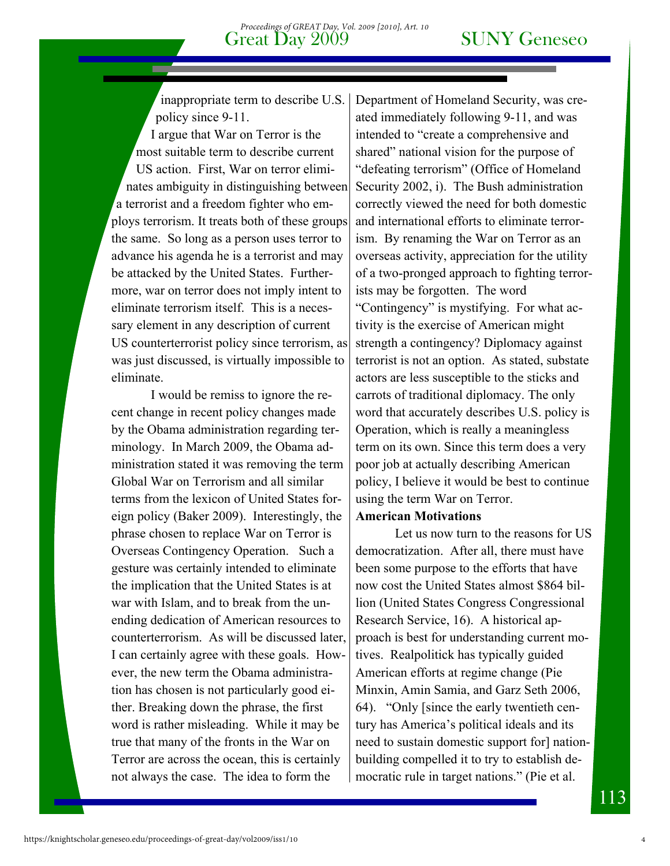inappropriate term to describe U.S. policy since 9-11.

I argue that War on Terror is the most suitable term to describe current US action. First, War on terror eliminates ambiguity in distinguishing between a terrorist and a freedom fighter who employs terrorism. It treats both of these groups the same. So long as a person uses terror to advance his agenda he is a terrorist and may be attacked by the United States. Furthermore, war on terror does not imply intent to eliminate terrorism itself. This is a necessary element in any description of current US counterterrorist policy since terrorism, as was just discussed, is virtually impossible to eliminate.

I would be remiss to ignore the recent change in recent policy changes made by the Obama administration regarding terminology. In March 2009, the Obama administration stated it was removing the term Global War on Terrorism and all similar terms from the lexicon of United States foreign policy (Baker 2009). Interestingly, the phrase chosen to replace War on Terror is Overseas Contingency Operation. Such a gesture was certainly intended to eliminate the implication that the United States is at war with Islam, and to break from the unending dedication of American resources to counterterrorism. As will be discussed later, I can certainly agree with these goals. However, the new term the Obama administration has chosen is not particularly good either. Breaking down the phrase, the first word is rather misleading. While it may be true that many of the fronts in the War on Terror are across the ocean, this is certainly not always the case. The idea to form the

Department of Homeland Security, was created immediately following 9-11, and was intended to "create a comprehensive and shared" national vision for the purpose of "defeating terrorism" (Office of Homeland Security 2002, i). The Bush administration correctly viewed the need for both domestic and international efforts to eliminate terrorism. By renaming the War on Terror as an overseas activity, appreciation for the utility of a two-pronged approach to fighting terrorists may be forgotten. The word "Contingency" is mystifying. For what activity is the exercise of American might strength a contingency? Diplomacy against terrorist is not an option. As stated, substate actors are less susceptible to the sticks and carrots of traditional diplomacy. The only word that accurately describes U.S. policy is Operation, which is really a meaningless term on its own. Since this term does a very poor job at actually describing American policy, I believe it would be best to continue using the term War on Terror.

### **American Motivations**

Let us now turn to the reasons for US democratization. After all, there must have been some purpose to the efforts that have now cost the United States almost \$864 billion (United States Congress Congressional Research Service, 16). A historical approach is best for understanding current motives. Realpolitick has typically guided American efforts at regime change (Pie Minxin, Amin Samia, and Garz Seth 2006, 64). "Only [since the early twentieth century has America's political ideals and its need to sustain domestic support for] nationbuilding compelled it to try to establish democratic rule in target nations." (Pie et al.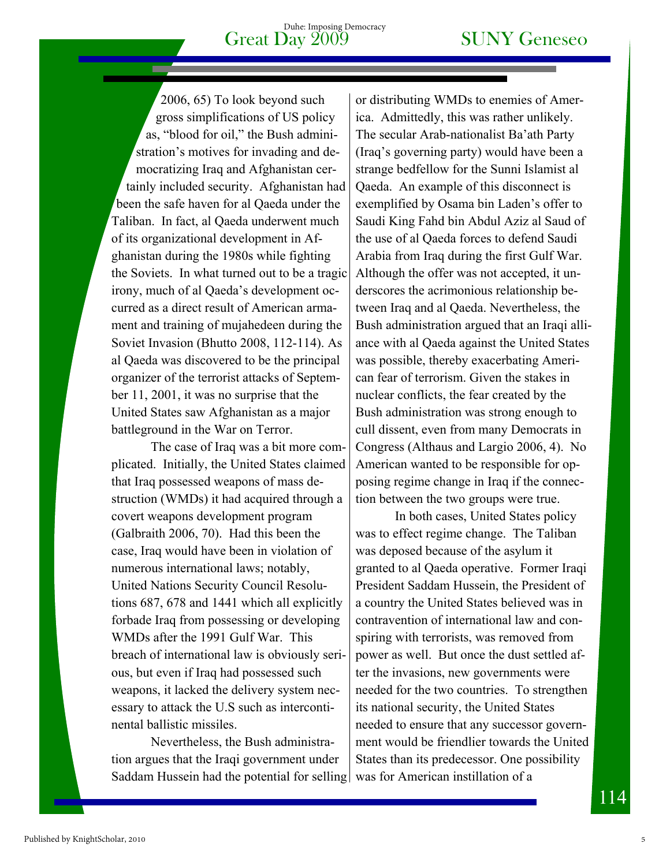2006, 65) To look beyond such gross simplifications of US policy as, "blood for oil," the Bush administration's motives for invading and democratizing Iraq and Afghanistan certainly included security. Afghanistan had been the safe haven for al Qaeda under the Taliban. In fact, al Qaeda underwent much of its organizational development in Afghanistan during the 1980s while fighting the Soviets. In what turned out to be a tragic irony, much of al Qaeda's development occurred as a direct result of American armament and training of mujahedeen during the Soviet Invasion (Bhutto 2008, 112-114). As al Qaeda was discovered to be the principal organizer of the terrorist attacks of September 11, 2001, it was no surprise that the United States saw Afghanistan as a major battleground in the War on Terror.

The case of Iraq was a bit more complicated. Initially, the United States claimed that Iraq possessed weapons of mass destruction (WMDs) it had acquired through a covert weapons development program (Galbraith 2006, 70). Had this been the case, Iraq would have been in violation of numerous international laws; notably, United Nations Security Council Resolutions 687, 678 and 1441 which all explicitly forbade Iraq from possessing or developing WMDs after the 1991 Gulf War. This breach of international law is obviously serious, but even if Iraq had possessed such weapons, it lacked the delivery system necessary to attack the U.S such as intercontinental ballistic missiles.

Nevertheless, the Bush administration argues that the Iraqi government under Saddam Hussein had the potential for selling

or distributing WMDs to enemies of America. Admittedly, this was rather unlikely. The secular Arab-nationalist Ba'ath Party (Iraq's governing party) would have been a strange bedfellow for the Sunni Islamist al Qaeda. An example of this disconnect is exemplified by Osama bin Laden's offer to Saudi King Fahd bin Abdul Aziz al Saud of the use of al Qaeda forces to defend Saudi Arabia from Iraq during the first Gulf War. Although the offer was not accepted, it underscores the acrimonious relationship between Iraq and al Qaeda. Nevertheless, the Bush administration argued that an Iraqi alliance with al Qaeda against the United States was possible, thereby exacerbating American fear of terrorism. Given the stakes in nuclear conflicts, the fear created by the Bush administration was strong enough to cull dissent, even from many Democrats in Congress (Althaus and Largio 2006, 4). No American wanted to be responsible for opposing regime change in Iraq if the connection between the two groups were true.

In both cases, United States policy was to effect regime change. The Taliban was deposed because of the asylum it granted to al Qaeda operative. Former Iraqi President Saddam Hussein, the President of a country the United States believed was in contravention of international law and conspiring with terrorists, was removed from power as well. But once the dust settled after the invasions, new governments were needed for the two countries. To strengthen its national security, the United States needed to ensure that any successor government would be friendlier towards the United States than its predecessor. One possibility was for American instillation of a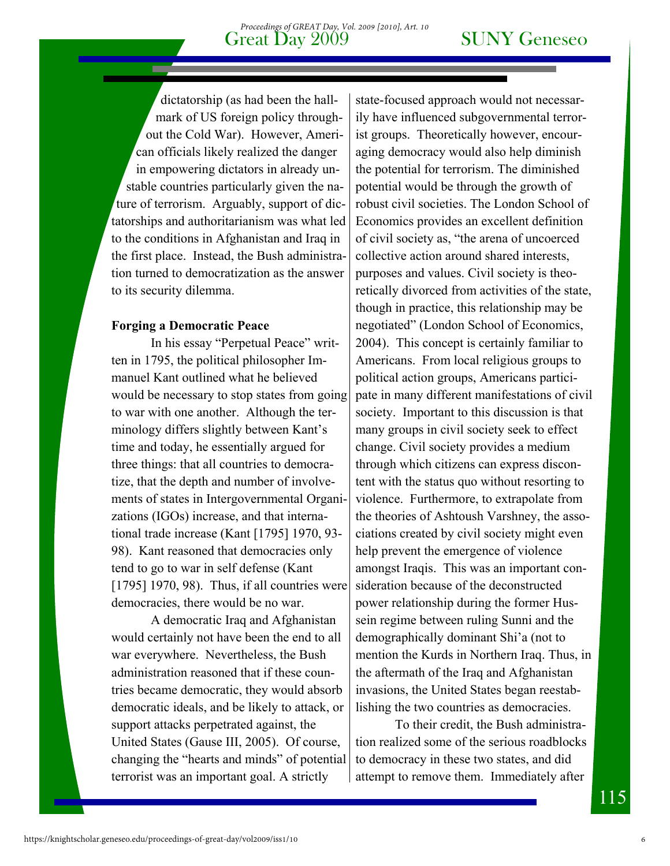dictatorship (as had been the hallmark of US foreign policy throughout the Cold War). However, American officials likely realized the danger in empowering dictators in already unstable countries particularly given the nature of terrorism. Arguably, support of dictatorships and authoritarianism was what led to the conditions in Afghanistan and Iraq in the first place. Instead, the Bush administration turned to democratization as the answer to its security dilemma.

### **Forging a Democratic Peace**

In his essay "Perpetual Peace" written in 1795, the political philosopher Immanuel Kant outlined what he believed would be necessary to stop states from going to war with one another. Although the terminology differs slightly between Kant's time and today, he essentially argued for three things: that all countries to democratize, that the depth and number of involvements of states in Intergovernmental Organizations (IGOs) increase, and that international trade increase (Kant [1795] 1970, 93- 98). Kant reasoned that democracies only tend to go to war in self defense (Kant [1795] 1970, 98). Thus, if all countries were democracies, there would be no war.

A democratic Iraq and Afghanistan would certainly not have been the end to all war everywhere. Nevertheless, the Bush administration reasoned that if these countries became democratic, they would absorb democratic ideals, and be likely to attack, or support attacks perpetrated against, the United States (Gause III, 2005). Of course, changing the "hearts and minds" of potential terrorist was an important goal. A strictly

state-focused approach would not necessarily have influenced subgovernmental terrorist groups. Theoretically however, encouraging democracy would also help diminish the potential for terrorism. The diminished potential would be through the growth of robust civil societies. The London School of Economics provides an excellent definition of civil society as, "the arena of uncoerced collective action around shared interests, purposes and values. Civil society is theoretically divorced from activities of the state, though in practice, this relationship may be negotiated" (London School of Economics, 2004). This concept is certainly familiar to Americans. From local religious groups to political action groups, Americans participate in many different manifestations of civil society. Important to this discussion is that many groups in civil society seek to effect change. Civil society provides a medium through which citizens can express discontent with the status quo without resorting to violence. Furthermore, to extrapolate from the theories of Ashtoush Varshney, the associations created by civil society might even help prevent the emergence of violence amongst Iraqis. This was an important consideration because of the deconstructed power relationship during the former Hussein regime between ruling Sunni and the demographically dominant Shi'a (not to mention the Kurds in Northern Iraq. Thus, in the aftermath of the Iraq and Afghanistan invasions, the United States began reestablishing the two countries as democracies.

To their credit, the Bush administration realized some of the serious roadblocks to democracy in these two states, and did attempt to remove them. Immediately after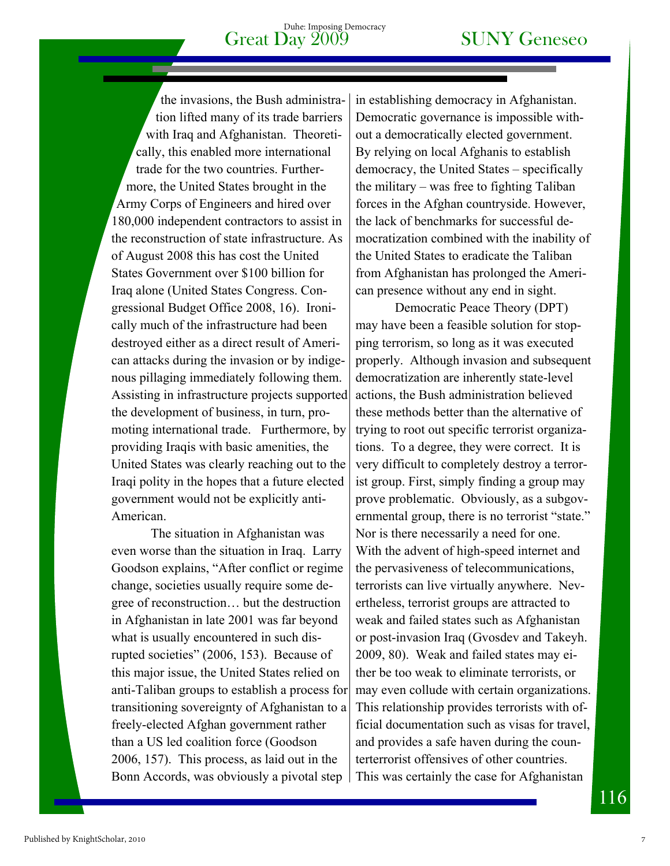the invasions, the Bush administration lifted many of its trade barriers with Iraq and Afghanistan. Theoretically, this enabled more international trade for the two countries. Furthermore, the United States brought in the Army Corps of Engineers and hired over 180,000 independent contractors to assist in the reconstruction of state infrastructure. As of August 2008 this has cost the United States Government over \$100 billion for Iraq alone (United States Congress. Congressional Budget Office 2008, 16). Ironically much of the infrastructure had been destroyed either as a direct result of American attacks during the invasion or by indigenous pillaging immediately following them. Assisting in infrastructure projects supported the development of business, in turn, promoting international trade. Furthermore, by providing Iraqis with basic amenities, the United States was clearly reaching out to the Iraqi polity in the hopes that a future elected government would not be explicitly anti-American.

The situation in Afghanistan was even worse than the situation in Iraq. Larry Goodson explains, "After conflict or regime change, societies usually require some degree of reconstruction… but the destruction in Afghanistan in late 2001 was far beyond what is usually encountered in such disrupted societies" (2006, 153). Because of this major issue, the United States relied on anti-Taliban groups to establish a process for transitioning sovereignty of Afghanistan to a freely-elected Afghan government rather than a US led coalition force (Goodson 2006, 157). This process, as laid out in the Bonn Accords, was obviously a pivotal step

in establishing democracy in Afghanistan. Democratic governance is impossible without a democratically elected government. By relying on local Afghanis to establish democracy, the United States – specifically the military – was free to fighting Taliban forces in the Afghan countryside. However, the lack of benchmarks for successful democratization combined with the inability of the United States to eradicate the Taliban from Afghanistan has prolonged the American presence without any end in sight.

Democratic Peace Theory (DPT) may have been a feasible solution for stopping terrorism, so long as it was executed properly. Although invasion and subsequent democratization are inherently state-level actions, the Bush administration believed these methods better than the alternative of trying to root out specific terrorist organizations. To a degree, they were correct. It is very difficult to completely destroy a terrorist group. First, simply finding a group may prove problematic. Obviously, as a subgovernmental group, there is no terrorist "state." Nor is there necessarily a need for one. With the advent of high-speed internet and the pervasiveness of telecommunications, terrorists can live virtually anywhere. Nevertheless, terrorist groups are attracted to weak and failed states such as Afghanistan or post-invasion Iraq (Gvosdev and Takeyh. 2009, 80). Weak and failed states may either be too weak to eliminate terrorists, or may even collude with certain organizations. This relationship provides terrorists with official documentation such as visas for travel, and provides a safe haven during the counterterrorist offensives of other countries. This was certainly the case for Afghanistan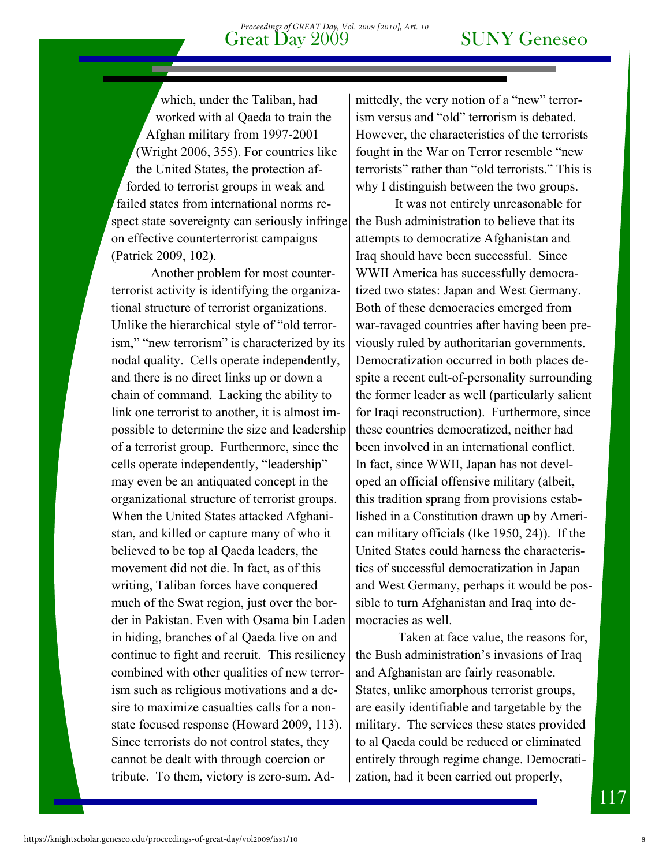which, under the Taliban, had worked with al Qaeda to train the Afghan military from 1997-2001 (Wright 2006, 355). For countries like the United States, the protection afforded to terrorist groups in weak and failed states from international norms respect state sovereignty can seriously infringe on effective counterterrorist campaigns (Patrick 2009, 102).

Another problem for most counterterrorist activity is identifying the organizational structure of terrorist organizations. Unlike the hierarchical style of "old terrorism," "new terrorism" is characterized by its nodal quality. Cells operate independently, and there is no direct links up or down a chain of command. Lacking the ability to link one terrorist to another, it is almost impossible to determine the size and leadership of a terrorist group. Furthermore, since the cells operate independently, "leadership" may even be an antiquated concept in the organizational structure of terrorist groups. When the United States attacked Afghanistan, and killed or capture many of who it believed to be top al Qaeda leaders, the movement did not die. In fact, as of this writing, Taliban forces have conquered much of the Swat region, just over the border in Pakistan. Even with Osama bin Laden in hiding, branches of al Qaeda live on and continue to fight and recruit. This resiliency combined with other qualities of new terrorism such as religious motivations and a desire to maximize casualties calls for a nonstate focused response (Howard 2009, 113). Since terrorists do not control states, they cannot be dealt with through coercion or tribute. To them, victory is zero-sum. Admittedly, the very notion of a "new" terrorism versus and "old" terrorism is debated. However, the characteristics of the terrorists fought in the War on Terror resemble "new terrorists" rather than "old terrorists." This is why I distinguish between the two groups.

It was not entirely unreasonable for the Bush administration to believe that its attempts to democratize Afghanistan and Iraq should have been successful. Since WWII America has successfully democratized two states: Japan and West Germany. Both of these democracies emerged from war-ravaged countries after having been previously ruled by authoritarian governments. Democratization occurred in both places despite a recent cult-of-personality surrounding the former leader as well (particularly salient for Iraqi reconstruction). Furthermore, since these countries democratized, neither had been involved in an international conflict. In fact, since WWII, Japan has not developed an official offensive military (albeit, this tradition sprang from provisions established in a Constitution drawn up by American military officials (Ike 1950, 24)). If the United States could harness the characteristics of successful democratization in Japan and West Germany, perhaps it would be possible to turn Afghanistan and Iraq into democracies as well.

 Taken at face value, the reasons for, the Bush administration's invasions of Iraq and Afghanistan are fairly reasonable. States, unlike amorphous terrorist groups, are easily identifiable and targetable by the military. The services these states provided to al Qaeda could be reduced or eliminated entirely through regime change. Democratization, had it been carried out properly,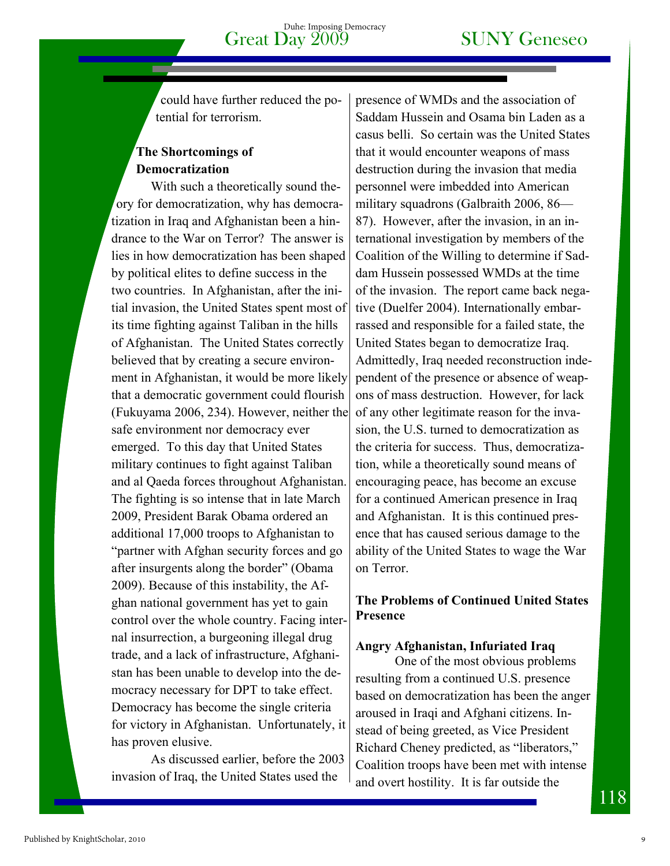could have further reduced the potential for terrorism.

### **The Shortcomings of Democratization**

With such a theoretically sound theory for democratization, why has democratization in Iraq and Afghanistan been a hindrance to the War on Terror? The answer is lies in how democratization has been shaped by political elites to define success in the two countries. In Afghanistan, after the initial invasion, the United States spent most of its time fighting against Taliban in the hills of Afghanistan. The United States correctly believed that by creating a secure environment in Afghanistan, it would be more likely that a democratic government could flourish (Fukuyama 2006, 234). However, neither the safe environment nor democracy ever emerged. To this day that United States military continues to fight against Taliban and al Qaeda forces throughout Afghanistan. The fighting is so intense that in late March 2009, President Barak Obama ordered an additional 17,000 troops to Afghanistan to "partner with Afghan security forces and go after insurgents along the border" (Obama 2009). Because of this instability, the Afghan national government has yet to gain control over the whole country. Facing internal insurrection, a burgeoning illegal drug trade, and a lack of infrastructure, Afghanistan has been unable to develop into the democracy necessary for DPT to take effect. Democracy has become the single criteria for victory in Afghanistan. Unfortunately, it has proven elusive.

As discussed earlier, before the 2003 invasion of Iraq, the United States used the

presence of WMDs and the association of Saddam Hussein and Osama bin Laden as a casus belli. So certain was the United States that it would encounter weapons of mass destruction during the invasion that media personnel were imbedded into American military squadrons (Galbraith 2006, 86— 87). However, after the invasion, in an international investigation by members of the Coalition of the Willing to determine if Saddam Hussein possessed WMDs at the time of the invasion. The report came back negative (Duelfer 2004). Internationally embarrassed and responsible for a failed state, the United States began to democratize Iraq. Admittedly, Iraq needed reconstruction independent of the presence or absence of weapons of mass destruction. However, for lack of any other legitimate reason for the invasion, the U.S. turned to democratization as the criteria for success. Thus, democratization, while a theoretically sound means of encouraging peace, has become an excuse for a continued American presence in Iraq and Afghanistan. It is this continued presence that has caused serious damage to the ability of the United States to wage the War on Terror.

### **The Problems of Continued United States Presence**

### **Angry Afghanistan, Infuriated Iraq**

One of the most obvious problems resulting from a continued U.S. presence based on democratization has been the anger aroused in Iraqi and Afghani citizens. Instead of being greeted, as Vice President Richard Cheney predicted, as "liberators," Coalition troops have been met with intense and overt hostility. It is far outside the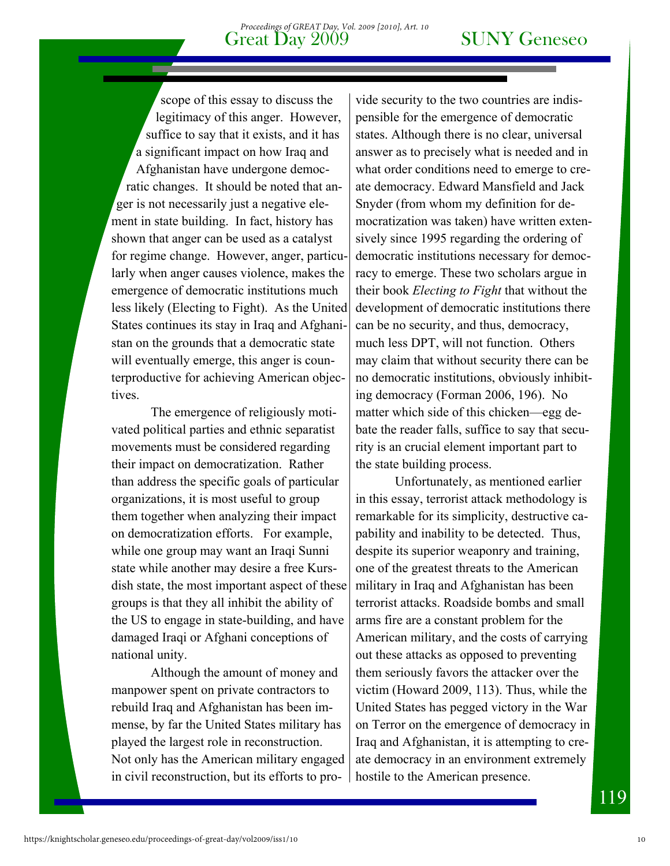scope of this essay to discuss the legitimacy of this anger. However, suffice to say that it exists, and it has a significant impact on how Iraq and Afghanistan have undergone democratic changes. It should be noted that anger is not necessarily just a negative element in state building. In fact, history has shown that anger can be used as a catalyst for regime change. However, anger, particularly when anger causes violence, makes the emergence of democratic institutions much less likely (Electing to Fight). As the United States continues its stay in Iraq and Afghanistan on the grounds that a democratic state will eventually emerge, this anger is counterproductive for achieving American objectives.

The emergence of religiously motivated political parties and ethnic separatist movements must be considered regarding their impact on democratization. Rather than address the specific goals of particular organizations, it is most useful to group them together when analyzing their impact on democratization efforts. For example, while one group may want an Iraqi Sunni state while another may desire a free Kursdish state, the most important aspect of these groups is that they all inhibit the ability of the US to engage in state-building, and have damaged Iraqi or Afghani conceptions of national unity.

Although the amount of money and manpower spent on private contractors to rebuild Iraq and Afghanistan has been immense, by far the United States military has played the largest role in reconstruction. Not only has the American military engaged in civil reconstruction, but its efforts to provide security to the two countries are indispensible for the emergence of democratic states. Although there is no clear, universal answer as to precisely what is needed and in what order conditions need to emerge to create democracy. Edward Mansfield and Jack Snyder (from whom my definition for democratization was taken) have written extensively since 1995 regarding the ordering of democratic institutions necessary for democracy to emerge. These two scholars argue in their book *Electing to Fight* that without the development of democratic institutions there can be no security, and thus, democracy, much less DPT, will not function. Others may claim that without security there can be no democratic institutions, obviously inhibiting democracy (Forman 2006, 196). No matter which side of this chicken—egg debate the reader falls, suffice to say that security is an crucial element important part to the state building process.

 Unfortunately, as mentioned earlier in this essay, terrorist attack methodology is remarkable for its simplicity, destructive capability and inability to be detected. Thus, despite its superior weaponry and training, one of the greatest threats to the American military in Iraq and Afghanistan has been terrorist attacks. Roadside bombs and small arms fire are a constant problem for the American military, and the costs of carrying out these attacks as opposed to preventing them seriously favors the attacker over the victim (Howard 2009, 113). Thus, while the United States has pegged victory in the War on Terror on the emergence of democracy in Iraq and Afghanistan, it is attempting to create democracy in an environment extremely hostile to the American presence.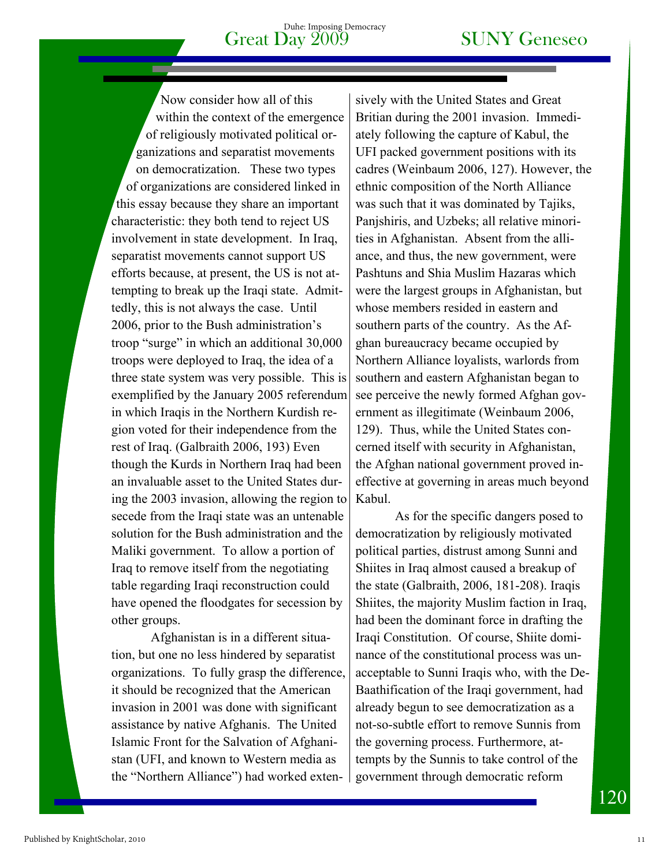Now consider how all of this within the context of the emergence of religiously motivated political organizations and separatist movements on democratization. These two types of organizations are considered linked in this essay because they share an important characteristic: they both tend to reject US involvement in state development. In Iraq, separatist movements cannot support US efforts because, at present, the US is not attempting to break up the Iraqi state. Admittedly, this is not always the case. Until 2006, prior to the Bush administration's troop "surge" in which an additional 30,000 troops were deployed to Iraq, the idea of a three state system was very possible. This is exemplified by the January 2005 referendum in which Iraqis in the Northern Kurdish region voted for their independence from the rest of Iraq. (Galbraith 2006, 193) Even though the Kurds in Northern Iraq had been an invaluable asset to the United States during the 2003 invasion, allowing the region to secede from the Iraqi state was an untenable solution for the Bush administration and the Maliki government. To allow a portion of Iraq to remove itself from the negotiating table regarding Iraqi reconstruction could have opened the floodgates for secession by other groups.

Afghanistan is in a different situation, but one no less hindered by separatist organizations. To fully grasp the difference, it should be recognized that the American invasion in 2001 was done with significant assistance by native Afghanis. The United Islamic Front for the Salvation of Afghanistan (UFI, and known to Western media as the "Northern Alliance") had worked extensively with the United States and Great Britian during the 2001 invasion. Immediately following the capture of Kabul, the UFI packed government positions with its cadres (Weinbaum 2006, 127). However, the ethnic composition of the North Alliance was such that it was dominated by Tajiks, Panjshiris, and Uzbeks; all relative minorities in Afghanistan. Absent from the alliance, and thus, the new government, were Pashtuns and Shia Muslim Hazaras which were the largest groups in Afghanistan, but whose members resided in eastern and southern parts of the country. As the Afghan bureaucracy became occupied by Northern Alliance loyalists, warlords from southern and eastern Afghanistan began to see perceive the newly formed Afghan government as illegitimate (Weinbaum 2006, 129). Thus, while the United States concerned itself with security in Afghanistan, the Afghan national government proved ineffective at governing in areas much beyond Kabul.

As for the specific dangers posed to democratization by religiously motivated political parties, distrust among Sunni and Shiites in Iraq almost caused a breakup of the state (Galbraith, 2006, 181-208). Iraqis Shiites, the majority Muslim faction in Iraq, had been the dominant force in drafting the Iraqi Constitution. Of course, Shiite dominance of the constitutional process was unacceptable to Sunni Iraqis who, with the De-Baathification of the Iraqi government, had already begun to see democratization as a not-so-subtle effort to remove Sunnis from the governing process. Furthermore, attempts by the Sunnis to take control of the government through democratic reform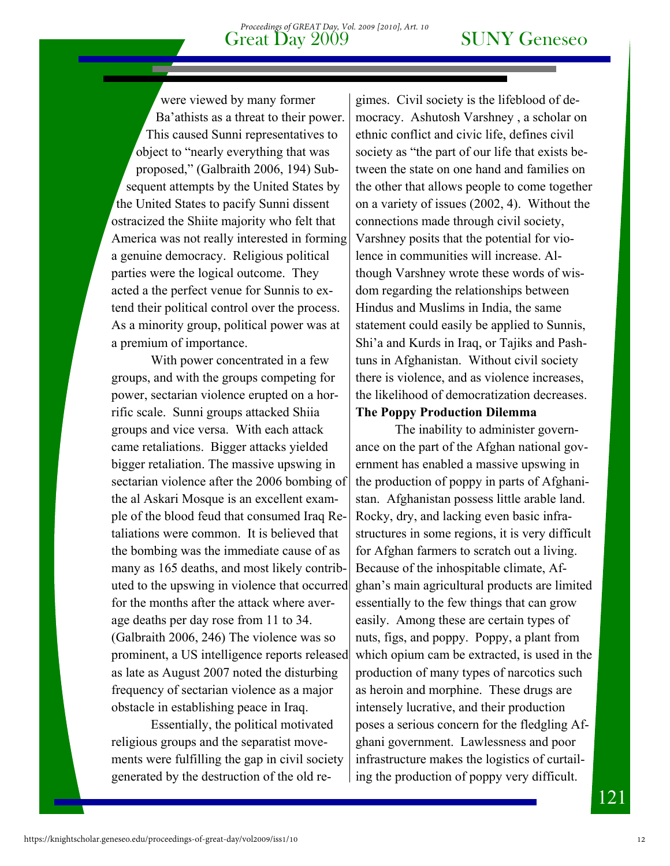were viewed by many former Ba'athists as a threat to their power. This caused Sunni representatives to object to "nearly everything that was proposed," (Galbraith 2006, 194) Subsequent attempts by the United States by the United States to pacify Sunni dissent ostracized the Shiite majority who felt that America was not really interested in forming a genuine democracy. Religious political parties were the logical outcome. They acted a the perfect venue for Sunnis to extend their political control over the process. As a minority group, political power was at a premium of importance.

With power concentrated in a few groups, and with the groups competing for power, sectarian violence erupted on a horrific scale. Sunni groups attacked Shiia groups and vice versa. With each attack came retaliations. Bigger attacks yielded bigger retaliation. The massive upswing in sectarian violence after the 2006 bombing of the al Askari Mosque is an excellent example of the blood feud that consumed Iraq Retaliations were common. It is believed that the bombing was the immediate cause of as many as 165 deaths, and most likely contributed to the upswing in violence that occurred for the months after the attack where average deaths per day rose from 11 to 34. (Galbraith 2006, 246) The violence was so prominent, a US intelligence reports released as late as August 2007 noted the disturbing frequency of sectarian violence as a major obstacle in establishing peace in Iraq.

Essentially, the political motivated religious groups and the separatist movements were fulfilling the gap in civil society generated by the destruction of the old regimes. Civil society is the lifeblood of democracy. Ashutosh Varshney , a scholar on ethnic conflict and civic life, defines civil society as "the part of our life that exists between the state on one hand and families on the other that allows people to come together on a variety of issues (2002, 4). Without the connections made through civil society, Varshney posits that the potential for violence in communities will increase. Although Varshney wrote these words of wisdom regarding the relationships between Hindus and Muslims in India, the same statement could easily be applied to Sunnis, Shi'a and Kurds in Iraq, or Tajiks and Pashtuns in Afghanistan. Without civil society there is violence, and as violence increases, the likelihood of democratization decreases.

### **The Poppy Production Dilemma**

The inability to administer governance on the part of the Afghan national government has enabled a massive upswing in the production of poppy in parts of Afghanistan. Afghanistan possess little arable land. Rocky, dry, and lacking even basic infrastructures in some regions, it is very difficult for Afghan farmers to scratch out a living. Because of the inhospitable climate, Afghan's main agricultural products are limited essentially to the few things that can grow easily. Among these are certain types of nuts, figs, and poppy. Poppy, a plant from which opium cam be extracted, is used in the production of many types of narcotics such as heroin and morphine. These drugs are intensely lucrative, and their production poses a serious concern for the fledgling Afghani government. Lawlessness and poor infrastructure makes the logistics of curtailing the production of poppy very difficult.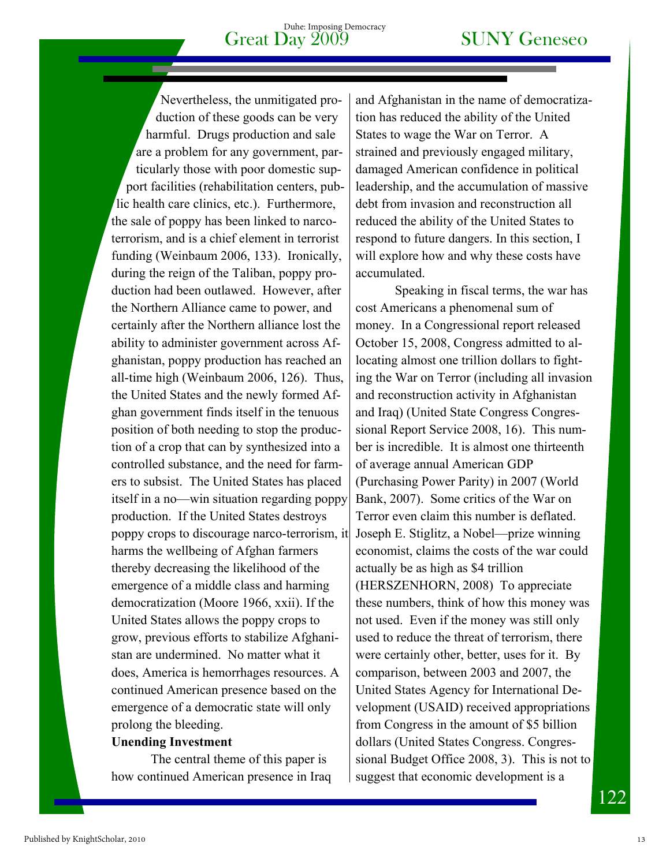Nevertheless, the unmitigated production of these goods can be very harmful. Drugs production and sale are a problem for any government, particularly those with poor domestic support facilities (rehabilitation centers, public health care clinics, etc.). Furthermore, the sale of poppy has been linked to narcoterrorism, and is a chief element in terrorist funding (Weinbaum 2006, 133). Ironically, during the reign of the Taliban, poppy production had been outlawed. However, after the Northern Alliance came to power, and certainly after the Northern alliance lost the ability to administer government across Afghanistan, poppy production has reached an all-time high (Weinbaum 2006, 126). Thus, the United States and the newly formed Afghan government finds itself in the tenuous position of both needing to stop the production of a crop that can by synthesized into a controlled substance, and the need for farmers to subsist. The United States has placed itself in a no—win situation regarding poppy production. If the United States destroys poppy crops to discourage narco-terrorism, it harms the wellbeing of Afghan farmers thereby decreasing the likelihood of the emergence of a middle class and harming democratization (Moore 1966, xxii). If the United States allows the poppy crops to grow, previous efforts to stabilize Afghanistan are undermined. No matter what it does, America is hemorrhages resources. A continued American presence based on the emergence of a democratic state will only prolong the bleeding.

### **Unending Investment**

 The central theme of this paper is how continued American presence in Iraq and Afghanistan in the name of democratization has reduced the ability of the United States to wage the War on Terror. A strained and previously engaged military, damaged American confidence in political leadership, and the accumulation of massive debt from invasion and reconstruction all reduced the ability of the United States to respond to future dangers. In this section, I will explore how and why these costs have accumulated.

 Speaking in fiscal terms, the war has cost Americans a phenomenal sum of money. In a Congressional report released October 15, 2008, Congress admitted to allocating almost one trillion dollars to fighting the War on Terror (including all invasion and reconstruction activity in Afghanistan and Iraq) (United State Congress Congressional Report Service 2008, 16). This number is incredible. It is almost one thirteenth of average annual American GDP (Purchasing Power Parity) in 2007 (World Bank, 2007). Some critics of the War on Terror even claim this number is deflated. Joseph E. Stiglitz, a Nobel—prize winning economist, claims the costs of the war could actually be as high as \$4 trillion (HERSZENHORN, 2008) To appreciate these numbers, think of how this money was not used. Even if the money was still only used to reduce the threat of terrorism, there were certainly other, better, uses for it. By comparison, between 2003 and 2007, the United States Agency for International Development (USAID) received appropriations from Congress in the amount of \$5 billion dollars (United States Congress. Congressional Budget Office 2008, 3). This is not to suggest that economic development is a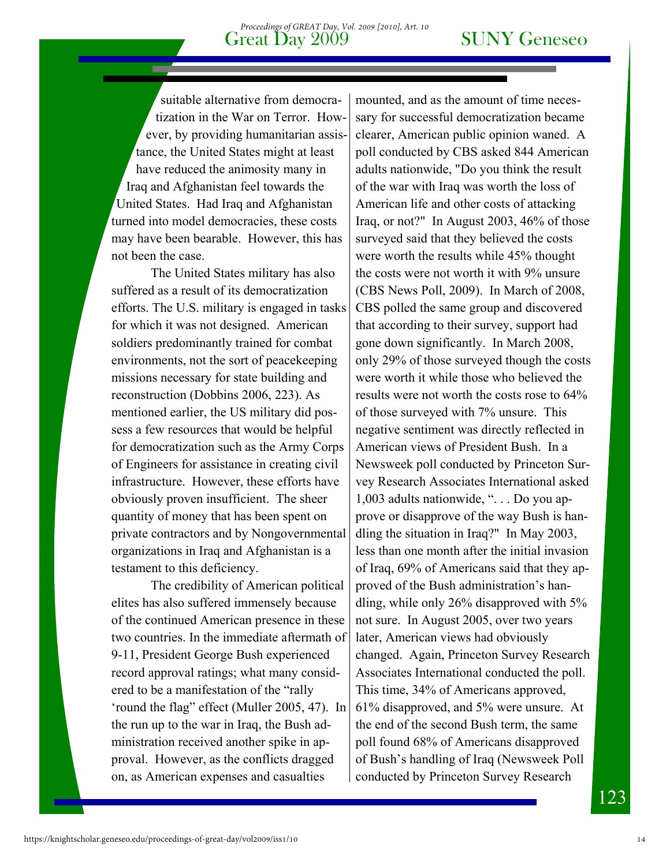suitable alternative from democratization in the War on Terror. However, by providing humanitarian assistance, the United States might at least have reduced the animosity many in Iraq and Afghanistan feel towards the United States. Had Iraq and Afghanistan turned into model democracies, these costs may have been bearable. However, this has not been the case.

 The United States military has also suffered as a result of its democratization efforts. The U.S. military is engaged in tasks for which it was not designed. American soldiers predominantly trained for combat environments, not the sort of peacekeeping missions necessary for state building and reconstruction (Dobbins 2006, 223). As mentioned earlier, the US military did possess a few resources that would be helpful for democratization such as the Army Corps of Engineers for assistance in creating civil infrastructure. However, these efforts have obviously proven insufficient. The sheer quantity of money that has been spent on private contractors and by Nongovernmental organizations in Iraq and Afghanistan is a testament to this deficiency.

 The credibility of American political elites has also suffered immensely because of the continued American presence in these two countries. In the immediate aftermath of 9-11, President George Bush experienced record approval ratings; what many considered to be a manifestation of the "rally 'round the flag" effect (Muller 2005, 47). In the run up to the war in Iraq, the Bush administration received another spike in approval. However, as the conflicts dragged on, as American expenses and casualties

mounted, and as the amount of time necessary for successful democratization became clearer, American public opinion waned. A poll conducted by CBS asked 844 American adults nationwide, "Do you think the result of the war with Iraq was worth the loss of American life and other costs of attacking Iraq, or not?" In August 2003, 46% of those surveyed said that they believed the costs were worth the results while 45% thought the costs were not worth it with 9% unsure (CBS News Poll, 2009). In March of 2008, CBS polled the same group and discovered that according to their survey, support had gone down significantly. In March 2008, only 29% of those surveyed though the costs were worth it while those who believed the results were not worth the costs rose to 64% of those surveyed with 7% unsure. This negative sentiment was directly reflected in American views of President Bush. In a Newsweek poll conducted by Princeton Survey Research Associates International asked 1,003 adults nationwide, ". . . Do you approve or disapprove of the way Bush is handling the situation in Iraq?" In May 2003, less than one month after the initial invasion of Iraq, 69% of Americans said that they approved of the Bush administration's handling, while only 26% disapproved with 5% not sure. In August 2005, over two years later, American views had obviously changed. Again, Princeton Survey Research Associates International conducted the poll. This time, 34% of Americans approved, 61% disapproved, and 5% were unsure. At the end of the second Bush term, the same poll found 68% of Americans disapproved of Bush's handling of Iraq (Newsweek Poll conducted by Princeton Survey Research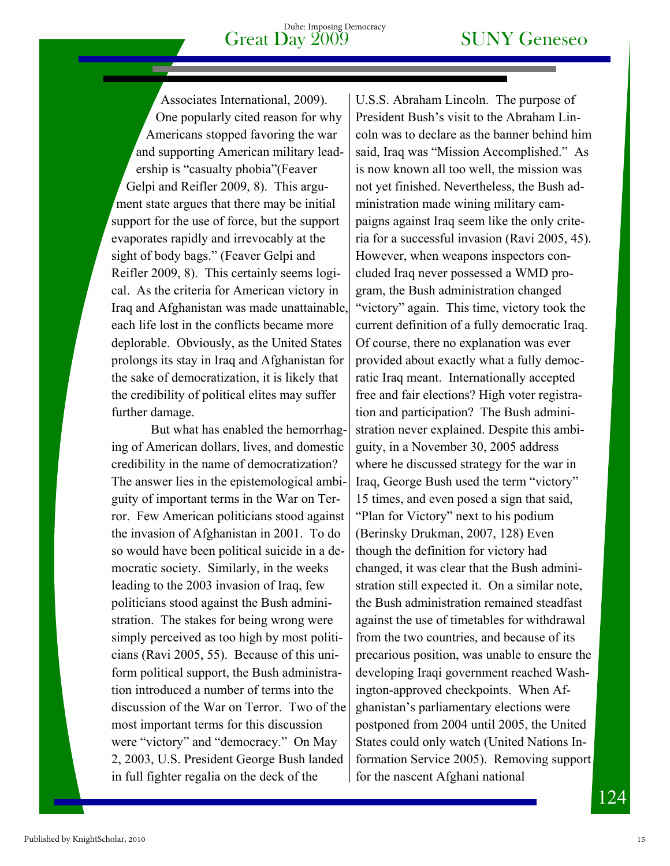Associates International, 2009). One popularly cited reason for why Americans stopped favoring the war and supporting American military leadership is "casualty phobia"(Feaver Gelpi and Reifler 2009, 8). This argument state argues that there may be initial support for the use of force, but the support evaporates rapidly and irrevocably at the sight of body bags." (Feaver Gelpi and Reifler 2009, 8). This certainly seems logical. As the criteria for American victory in Iraq and Afghanistan was made unattainable, each life lost in the conflicts became more deplorable. Obviously, as the United States prolongs its stay in Iraq and Afghanistan for the sake of democratization, it is likely that the credibility of political elites may suffer further damage.

But what has enabled the hemorrhaging of American dollars, lives, and domestic credibility in the name of democratization? The answer lies in the epistemological ambiguity of important terms in the War on Terror. Few American politicians stood against the invasion of Afghanistan in 2001. To do so would have been political suicide in a democratic society. Similarly, in the weeks leading to the 2003 invasion of Iraq, few politicians stood against the Bush administration. The stakes for being wrong were simply perceived as too high by most politicians (Ravi 2005, 55). Because of this uniform political support, the Bush administration introduced a number of terms into the discussion of the War on Terror. Two of the most important terms for this discussion were "victory" and "democracy." On May 2, 2003, U.S. President George Bush landed in full fighter regalia on the deck of the

U.S.S. Abraham Lincoln. The purpose of President Bush's visit to the Abraham Lincoln was to declare as the banner behind him said, Iraq was "Mission Accomplished." As is now known all too well, the mission was not yet finished. Nevertheless, the Bush administration made wining military campaigns against Iraq seem like the only criteria for a successful invasion (Ravi 2005, 45). However, when weapons inspectors concluded Iraq never possessed a WMD program, the Bush administration changed "victory" again. This time, victory took the current definition of a fully democratic Iraq. Of course, there no explanation was ever provided about exactly what a fully democratic Iraq meant. Internationally accepted free and fair elections? High voter registration and participation? The Bush administration never explained. Despite this ambiguity, in a November 30, 2005 address where he discussed strategy for the war in Iraq, George Bush used the term "victory" 15 times, and even posed a sign that said, "Plan for Victory" next to his podium (Berinsky Drukman, 2007, 128) Even though the definition for victory had changed, it was clear that the Bush administration still expected it. On a similar note, the Bush administration remained steadfast against the use of timetables for withdrawal from the two countries, and because of its precarious position, was unable to ensure the developing Iraqi government reached Washington-approved checkpoints. When Afghanistan's parliamentary elections were postponed from 2004 until 2005, the United States could only watch (United Nations Information Service 2005). Removing support for the nascent Afghani national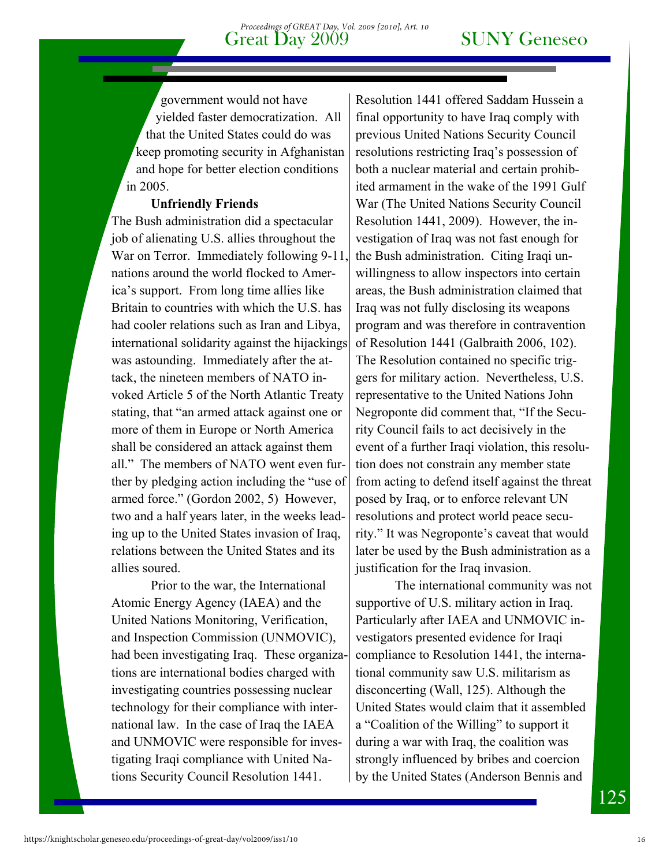government would not have yielded faster democratization. All that the United States could do was keep promoting security in Afghanistan and hope for better election conditions in 2005.

### **Unfriendly Friends**

The Bush administration did a spectacular job of alienating U.S. allies throughout the War on Terror. Immediately following 9-11, nations around the world flocked to America's support. From long time allies like Britain to countries with which the U.S. has had cooler relations such as Iran and Libya, international solidarity against the hijackings was astounding. Immediately after the attack, the nineteen members of NATO invoked Article 5 of the North Atlantic Treaty stating, that "an armed attack against one or more of them in Europe or North America shall be considered an attack against them all." The members of NATO went even further by pledging action including the "use of armed force." (Gordon 2002, 5) However, two and a half years later, in the weeks leading up to the United States invasion of Iraq, relations between the United States and its allies soured.

 Prior to the war, the International Atomic Energy Agency (IAEA) and the United Nations Monitoring, Verification, and Inspection Commission (UNMOVIC), had been investigating Iraq. These organizations are international bodies charged with investigating countries possessing nuclear technology for their compliance with international law. In the case of Iraq the IAEA and UNMOVIC were responsible for investigating Iraqi compliance with United Nations Security Council Resolution 1441.

Resolution 1441 offered Saddam Hussein a final opportunity to have Iraq comply with previous United Nations Security Council resolutions restricting Iraq's possession of both a nuclear material and certain prohibited armament in the wake of the 1991 Gulf War (The United Nations Security Council Resolution 1441, 2009). However, the investigation of Iraq was not fast enough for the Bush administration. Citing Iraqi unwillingness to allow inspectors into certain areas, the Bush administration claimed that Iraq was not fully disclosing its weapons program and was therefore in contravention of Resolution 1441 (Galbraith 2006, 102). The Resolution contained no specific triggers for military action. Nevertheless, U.S. representative to the United Nations John Negroponte did comment that, "If the Security Council fails to act decisively in the event of a further Iraqi violation, this resolution does not constrain any member state from acting to defend itself against the threat posed by Iraq, or to enforce relevant UN resolutions and protect world peace security." It was Negroponte's caveat that would later be used by the Bush administration as a justification for the Iraq invasion.

 The international community was not supportive of U.S. military action in Iraq. Particularly after IAEA and UNMOVIC investigators presented evidence for Iraqi compliance to Resolution 1441, the international community saw U.S. militarism as disconcerting (Wall, 125). Although the United States would claim that it assembled a "Coalition of the Willing" to support it during a war with Iraq, the coalition was strongly influenced by bribes and coercion by the United States (Anderson Bennis and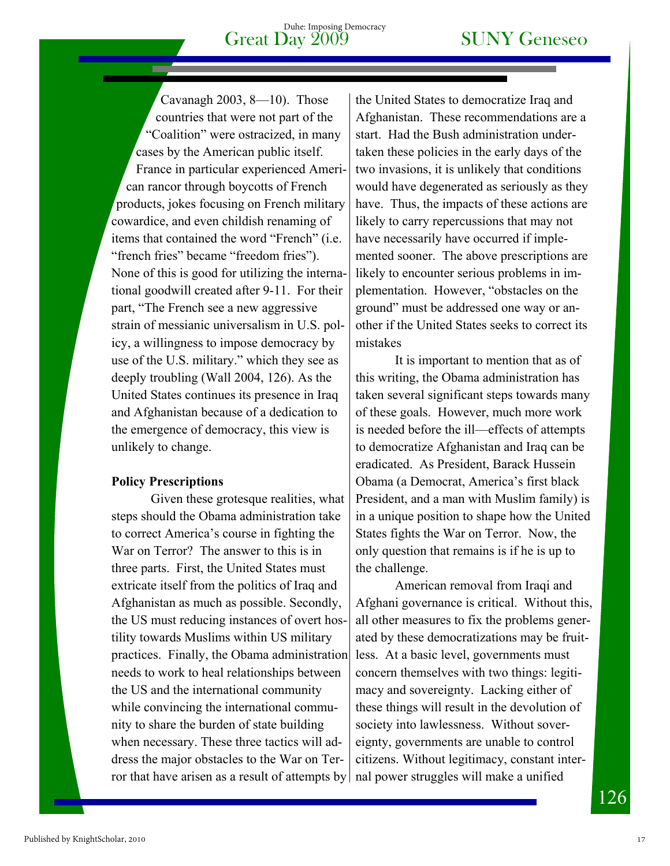Cavanagh 2003, 8—10). Those countries that were not part of the "Coalition" were ostracized, in many cases by the American public itself. France in particular experienced American rancor through boycotts of French products, jokes focusing on French military cowardice, and even childish renaming of items that contained the word "French" (i.e. "french fries" became "freedom fries"). None of this is good for utilizing the international goodwill created after 9-11. For their part, "The French see a new aggressive strain of messianic universalism in U.S. policy, a willingness to impose democracy by use of the U.S. military." which they see as deeply troubling (Wall 2004, 126). As the United States continues its presence in Iraq and Afghanistan because of a dedication to the emergence of democracy, this view is unlikely to change.

### **Policy Prescriptions**

Given these grotesque realities, what steps should the Obama administration take to correct America's course in fighting the War on Terror? The answer to this is in three parts. First, the United States must extricate itself from the politics of Iraq and Afghanistan as much as possible. Secondly, the US must reducing instances of overt hostility towards Muslims within US military practices. Finally, the Obama administration needs to work to heal relationships between the US and the international community while convincing the international community to share the burden of state building when necessary. These three tactics will address the major obstacles to the War on Terror that have arisen as a result of attempts by

the United States to democratize Iraq and Afghanistan. These recommendations are a start. Had the Bush administration undertaken these policies in the early days of the two invasions, it is unlikely that conditions would have degenerated as seriously as they have. Thus, the impacts of these actions are likely to carry repercussions that may not have necessarily have occurred if implemented sooner. The above prescriptions are likely to encounter serious problems in implementation. However, "obstacles on the ground" must be addressed one way or another if the United States seeks to correct its mistakes

It is important to mention that as of this writing, the Obama administration has taken several significant steps towards many of these goals. However, much more work is needed before the ill—effects of attempts to democratize Afghanistan and Iraq can be eradicated. As President, Barack Hussein Obama (a Democrat, America's first black President, and a man with Muslim family) is in a unique position to shape how the United States fights the War on Terror. Now, the only question that remains is if he is up to the challenge.

American removal from Iraqi and Afghani governance is critical. Without this, all other measures to fix the problems generated by these democratizations may be fruitless. At a basic level, governments must concern themselves with two things: legitimacy and sovereignty. Lacking either of these things will result in the devolution of society into lawlessness. Without sovereignty, governments are unable to control citizens. Without legitimacy, constant internal power struggles will make a unified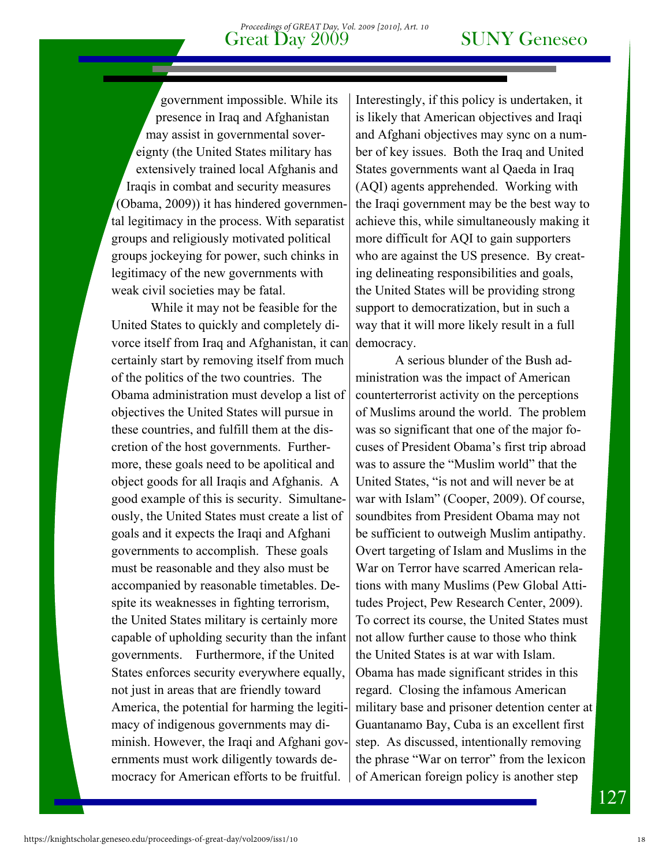government impossible. While its presence in Iraq and Afghanistan may assist in governmental sovereignty (the United States military has extensively trained local Afghanis and Iraqis in combat and security measures (Obama, 2009)) it has hindered governmental legitimacy in the process. With separatist groups and religiously motivated political groups jockeying for power, such chinks in legitimacy of the new governments with weak civil societies may be fatal.

While it may not be feasible for the United States to quickly and completely divorce itself from Iraq and Afghanistan, it can certainly start by removing itself from much of the politics of the two countries. The Obama administration must develop a list of objectives the United States will pursue in these countries, and fulfill them at the discretion of the host governments. Furthermore, these goals need to be apolitical and object goods for all Iraqis and Afghanis. A good example of this is security. Simultaneously, the United States must create a list of goals and it expects the Iraqi and Afghani governments to accomplish. These goals must be reasonable and they also must be accompanied by reasonable timetables. Despite its weaknesses in fighting terrorism, the United States military is certainly more capable of upholding security than the infant governments. Furthermore, if the United States enforces security everywhere equally, not just in areas that are friendly toward America, the potential for harming the legitimacy of indigenous governments may diminish. However, the Iraqi and Afghani governments must work diligently towards democracy for American efforts to be fruitful.

Interestingly, if this policy is undertaken, it is likely that American objectives and Iraqi and Afghani objectives may sync on a number of key issues. Both the Iraq and United States governments want al Qaeda in Iraq (AQI) agents apprehended. Working with the Iraqi government may be the best way to achieve this, while simultaneously making it more difficult for AQI to gain supporters who are against the US presence. By creating delineating responsibilities and goals, the United States will be providing strong support to democratization, but in such a way that it will more likely result in a full democracy.

A serious blunder of the Bush administration was the impact of American counterterrorist activity on the perceptions of Muslims around the world. The problem was so significant that one of the major focuses of President Obama's first trip abroad was to assure the "Muslim world" that the United States, "is not and will never be at war with Islam" (Cooper, 2009). Of course, soundbites from President Obama may not be sufficient to outweigh Muslim antipathy. Overt targeting of Islam and Muslims in the War on Terror have scarred American relations with many Muslims (Pew Global Attitudes Project, Pew Research Center, 2009). To correct its course, the United States must not allow further cause to those who think the United States is at war with Islam. Obama has made significant strides in this regard. Closing the infamous American military base and prisoner detention center at Guantanamo Bay, Cuba is an excellent first step. As discussed, intentionally removing the phrase "War on terror" from the lexicon of American foreign policy is another step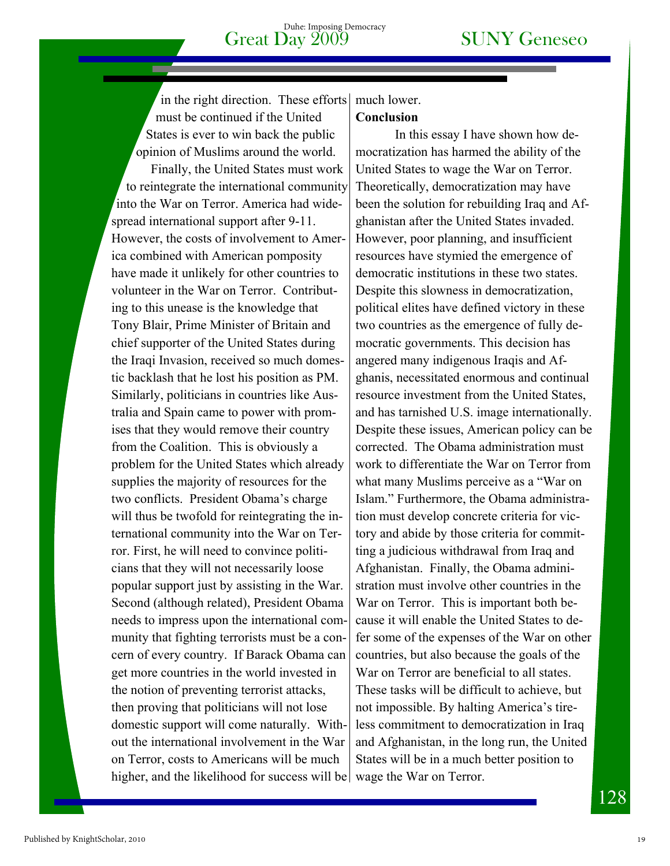in the right direction. These efforts must be continued if the United States is ever to win back the public opinion of Muslims around the world.

Finally, the United States must work to reintegrate the international community into the War on Terror. America had widespread international support after 9-11. However, the costs of involvement to America combined with American pomposity have made it unlikely for other countries to volunteer in the War on Terror. Contributing to this unease is the knowledge that Tony Blair, Prime Minister of Britain and chief supporter of the United States during the Iraqi Invasion, received so much domestic backlash that he lost his position as PM. Similarly, politicians in countries like Australia and Spain came to power with promises that they would remove their country from the Coalition. This is obviously a problem for the United States which already supplies the majority of resources for the two conflicts. President Obama's charge will thus be twofold for reintegrating the international community into the War on Terror. First, he will need to convince politicians that they will not necessarily loose popular support just by assisting in the War. Second (although related), President Obama needs to impress upon the international community that fighting terrorists must be a concern of every country. If Barack Obama can get more countries in the world invested in the notion of preventing terrorist attacks, then proving that politicians will not lose domestic support will come naturally. Without the international involvement in the War on Terror, costs to Americans will be much higher, and the likelihood for success will be wage the War on Terror.

### much lower. **Conclusion**

In this essay I have shown how democratization has harmed the ability of the United States to wage the War on Terror. Theoretically, democratization may have been the solution for rebuilding Iraq and Afghanistan after the United States invaded. However, poor planning, and insufficient resources have stymied the emergence of democratic institutions in these two states. Despite this slowness in democratization, political elites have defined victory in these two countries as the emergence of fully democratic governments. This decision has angered many indigenous Iraqis and Afghanis, necessitated enormous and continual resource investment from the United States, and has tarnished U.S. image internationally. Despite these issues, American policy can be corrected. The Obama administration must work to differentiate the War on Terror from what many Muslims perceive as a "War on Islam." Furthermore, the Obama administration must develop concrete criteria for victory and abide by those criteria for committing a judicious withdrawal from Iraq and Afghanistan. Finally, the Obama administration must involve other countries in the War on Terror. This is important both because it will enable the United States to defer some of the expenses of the War on other countries, but also because the goals of the War on Terror are beneficial to all states. These tasks will be difficult to achieve, but not impossible. By halting America's tireless commitment to democratization in Iraq and Afghanistan, in the long run, the United States will be in a much better position to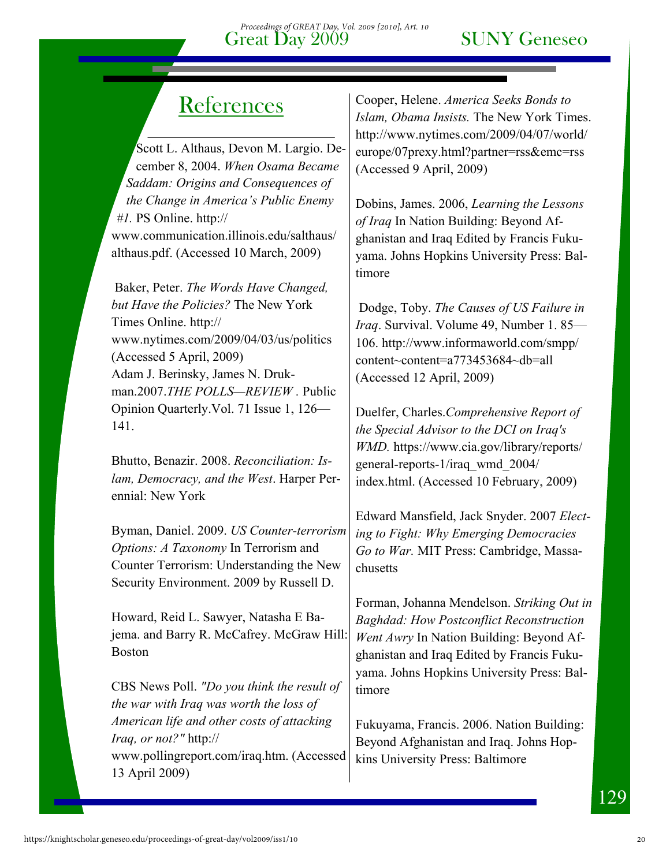## **References**

Scott L. Althaus, Devon M. Largio. December 8, 2004. *When Osama Became Saddam: Origins and Consequences of the Change in America's Public Enemy #1.* PS Online. http:// www.communication.illinois.edu/salthaus/ althaus.pdf. (Accessed 10 March, 2009)

 Baker, Peter. *The Words Have Changed, but Have the Policies?* The New York Times Online. http:// www.nytimes.com/2009/04/03/us/politics (Accessed 5 April, 2009) Adam J. Berinsky, James N. Drukman.2007.*THE POLLS—REVIEW .* Public Opinion Quarterly.Vol. 71 Issue 1, 126— 141.

Bhutto, Benazir. 2008. *Reconciliation: Islam, Democracy, and the West*. Harper Perennial: New York

Byman, Daniel. 2009. *US Counter-terrorism Options: A Taxonomy* In Terrorism and Counter Terrorism: Understanding the New Security Environment. 2009 by Russell D.

Howard, Reid L. Sawyer, Natasha E Bajema. and Barry R. McCafrey. McGraw Hill: Boston

CBS News Poll. *"Do you think the result of the war with Iraq was worth the loss of American life and other costs of attacking Iraq, or not?"* http:// www.pollingreport.com/iraq.htm. (Accessed 13 April 2009)

Cooper, Helene. *America Seeks Bonds to Islam, Obama Insists.* The New York Times. http://www.nytimes.com/2009/04/07/world/ europe/07prexy.html?partner=rss&emc=rss (Accessed 9 April, 2009)

Dobins, James. 2006, *Learning the Lessons of Iraq* In Nation Building: Beyond Afghanistan and Iraq Edited by Francis Fukuyama. Johns Hopkins University Press: Baltimore

 Dodge, Toby. *The Causes of US Failure in Iraq*. Survival. Volume 49, Number 1. 85— 106. http://www.informaworld.com/smpp/ content~content=a773453684~db=all (Accessed 12 April, 2009)

Duelfer, Charles.*Comprehensive Report of the Special Advisor to the DCI on Iraq's WMD.* https://www.cia.gov/library/reports/ general-reports-1/iraq\_wmd\_2004/ index.html. (Accessed 10 February, 2009)

Edward Mansfield, Jack Snyder. 2007 *Electing to Fight: Why Emerging Democracies Go to War.* MIT Press: Cambridge, Massachusetts

Forman, Johanna Mendelson. *Striking Out in Baghdad: How Postconflict Reconstruction Went Awry* In Nation Building: Beyond Afghanistan and Iraq Edited by Francis Fukuyama. Johns Hopkins University Press: Baltimore

Fukuyama, Francis. 2006. Nation Building: Beyond Afghanistan and Iraq. Johns Hopkins University Press: Baltimore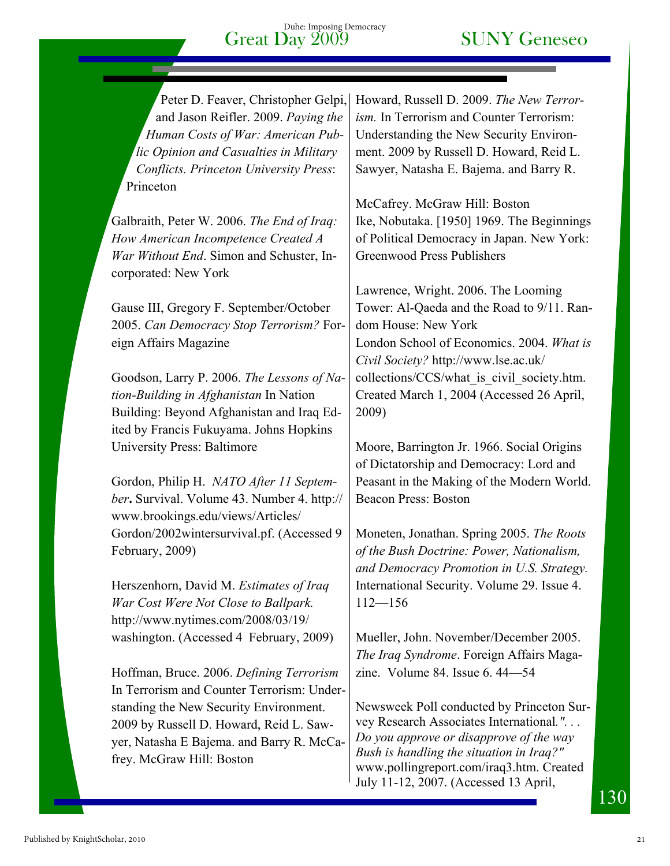Peter D. Feaver, Christopher Gelpi, and Jason Reifler. 2009. *Paying the Human Costs of War: American Public Opinion and Casualties in Military Conflicts. Princeton University Press*: Princeton

Galbraith, Peter W. 2006. *The End of Iraq: How American Incompetence Created A War Without End*. Simon and Schuster, Incorporated: New York

Gause III, Gregory F. September/October 2005. *Can Democracy Stop Terrorism?* Foreign Affairs Magazine

Goodson, Larry P. 2006. *The Lessons of Nation-Building in Afghanistan* In Nation Building: Beyond Afghanistan and Iraq Edited by Francis Fukuyama. Johns Hopkins University Press: Baltimore

Gordon, Philip H. *NATO After 11 September***.** Survival. Volume 43. Number 4. http:// www.brookings.edu/views/Articles/ Gordon/2002wintersurvival.pf. (Accessed 9 February, 2009)

Herszenhorn, David M. *Estimates of Iraq War Cost Were Not Close to Ballpark.*  http://www.nytimes.com/2008/03/19/ washington. (Accessed 4 February, 2009)

Hoffman, Bruce. 2006. *Defining Terrorism* In Terrorism and Counter Terrorism: Understanding the New Security Environment. 2009 by Russell D. Howard, Reid L. Sawyer, Natasha E Bajema. and Barry R. McCafrey. McGraw Hill: Boston

Howard, Russell D. 2009. *The New Terrorism.* In Terrorism and Counter Terrorism: Understanding the New Security Environment. 2009 by Russell D. Howard, Reid L. Sawyer, Natasha E. Bajema. and Barry R.

McCafrey. McGraw Hill: Boston Ike, Nobutaka. [1950] 1969. The Beginnings of Political Democracy in Japan. New York: Greenwood Press Publishers

Lawrence, Wright. 2006. The Looming Tower: Al-Qaeda and the Road to 9/11. Random House: New York London School of Economics. 2004. *What is Civil Society?* http://www.lse.ac.uk/ collections/CCS/what is civil society.htm. Created March 1, 2004 (Accessed 26 April, 2009)

Moore, Barrington Jr. 1966. Social Origins of Dictatorship and Democracy: Lord and Peasant in the Making of the Modern World. Beacon Press: Boston

Moneten, Jonathan. Spring 2005. *The Roots of the Bush Doctrine: Power, Nationalism, and Democracy Promotion in U.S. Strategy.*  International Security. Volume 29. Issue 4. 112—156

Mueller, John. November/December 2005. *The Iraq Syndrome*. Foreign Affairs Magazine. Volume 84. Issue 6. 44—54

Newsweek Poll conducted by Princeton Survey Research Associates International*.". . . Do you approve or disapprove of the way Bush is handling the situation in Iraq?"*  www.pollingreport.com/iraq3.htm. Created July 11-12, 2007. (Accessed 13 April,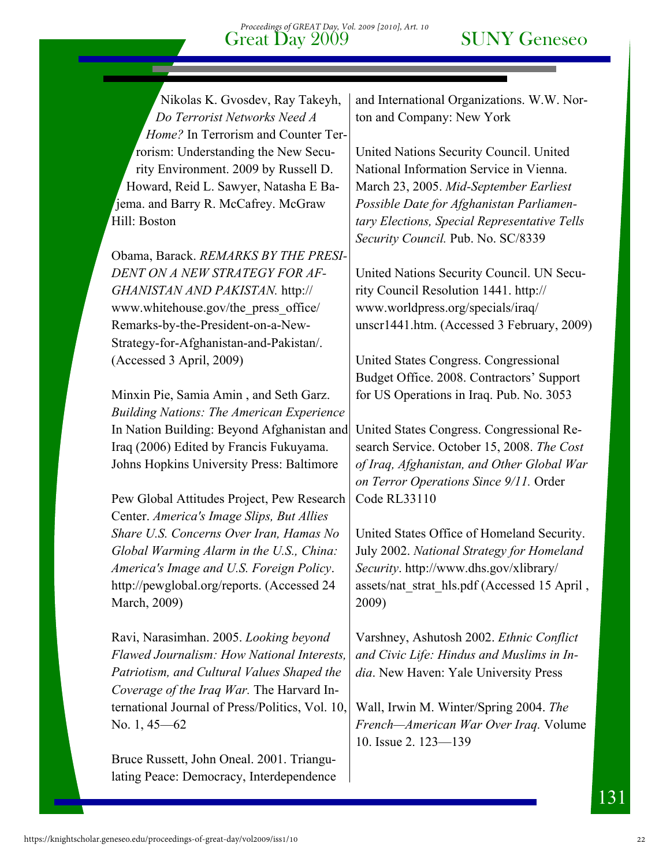Nikolas K. Gvosdev, Ray Takeyh, *Do Terrorist Networks Need A Home?* In Terrorism and Counter Terrorism: Understanding the New Security Environment. 2009 by Russell D. Howard, Reid L. Sawyer, Natasha E Bajema. and Barry R. McCafrey. McGraw Hill: Boston

Obama, Barack. *REMARKS BY THE PRESI-DENT ON A NEW STRATEGY FOR AF-GHANISTAN AND PAKISTAN.* http:// www.whitehouse.gov/the\_press\_office/ Remarks-by-the-President-on-a-New-Strategy-for-Afghanistan-and-Pakistan/. (Accessed 3 April, 2009)

Minxin Pie, Samia Amin , and Seth Garz. *Building Nations: The American Experience* In Nation Building: Beyond Afghanistan and Iraq (2006) Edited by Francis Fukuyama. Johns Hopkins University Press: Baltimore

Pew Global Attitudes Project, Pew Research Center. *America's Image Slips, But Allies Share U.S. Concerns Over Iran, Hamas No Global Warming Alarm in the U.S., China: America's Image and U.S. Foreign Policy*. http://pewglobal.org/reports. (Accessed 24 March, 2009)

Ravi, Narasimhan. 2005. *Looking beyond Flawed Journalism: How National Interests, Patriotism, and Cultural Values Shaped the Coverage of the Iraq War.* The Harvard International Journal of Press/Politics, Vol. 10, No. 1, 45—62

Bruce Russett, John Oneal. 2001. Triangulating Peace: Democracy, Interdependence and International Organizations. W.W. Norton and Company: New York

United Nations Security Council. United National Information Service in Vienna. March 23, 2005. *Mid-September Earliest Possible Date for Afghanistan Parliamentary Elections, Special Representative Tells Security Council.* Pub. No. SC/8339

United Nations Security Council. UN Security Council Resolution 1441. http:// www.worldpress.org/specials/iraq/ unscr1441.htm. (Accessed 3 February, 2009)

United States Congress. Congressional Budget Office. 2008. Contractors' Support for US Operations in Iraq. Pub. No. 3053

United States Congress. Congressional Research Service. October 15, 2008. *The Cost of Iraq, Afghanistan, and Other Global War on Terror Operations Since 9/11.* Order Code RL33110

United States Office of Homeland Security. July 2002. *National Strategy for Homeland Security*. http://www.dhs.gov/xlibrary/ assets/nat\_strat\_hls.pdf (Accessed 15 April , 2009)

Varshney, Ashutosh 2002. *Ethnic Conflict and Civic Life: Hindus and Muslims in India*. New Haven: Yale University Press

Wall, Irwin M. Winter/Spring 2004. *The French—American War Over Iraq.* Volume 10. Issue 2. 123—139